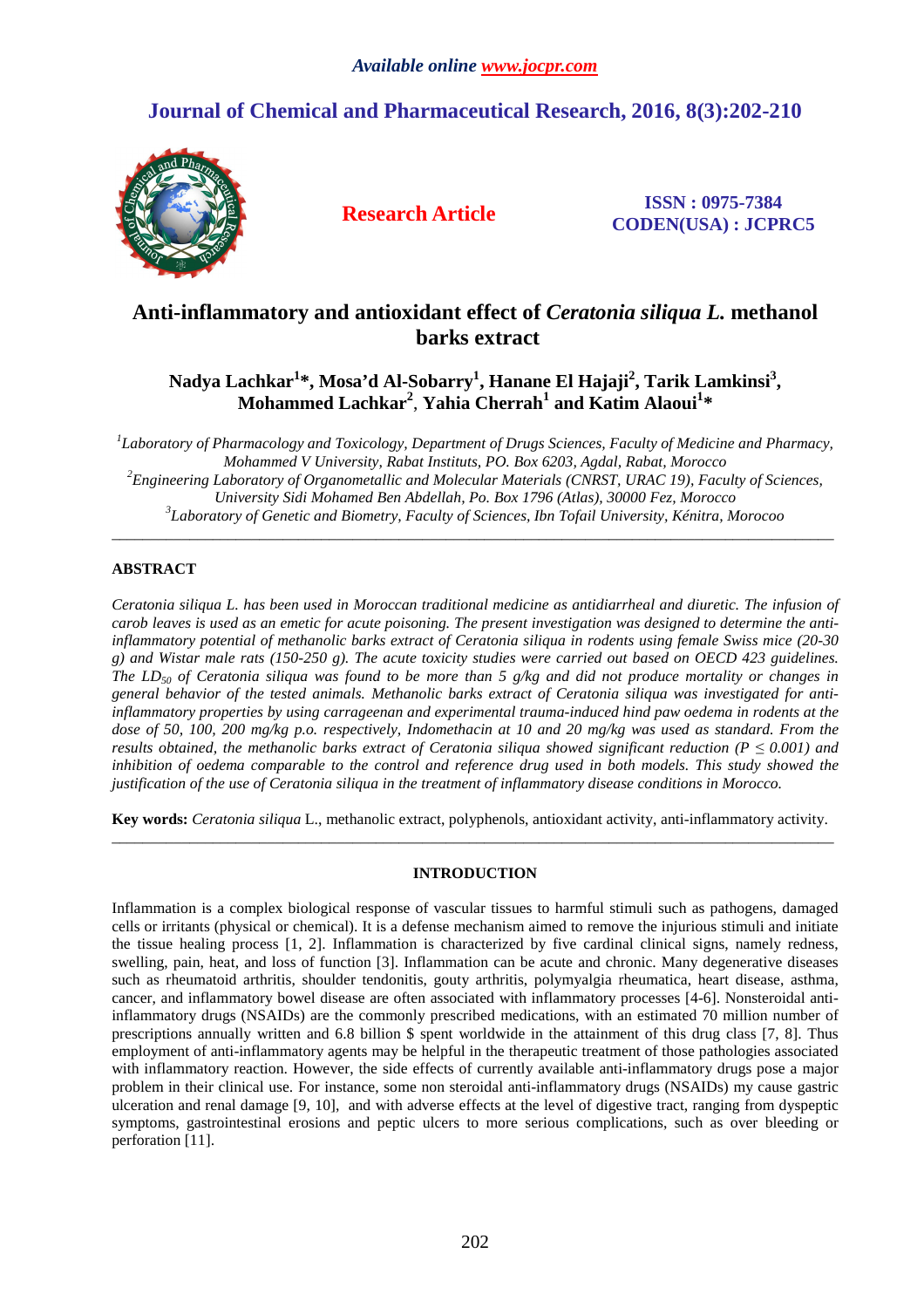# **Journal of Chemical and Pharmaceutical Research, 2016, 8(3):202-210**



**Research Article ISSN : 0975-7384 CODEN(USA) : JCPRC5**

# **Anti-inflammatory and antioxidant effect of** *Ceratonia siliqua L.* **methanol barks extract**

**Nadya Lachkar<sup>1</sup> \*, Mosa'd Al-Sobarry<sup>1</sup> , Hanane El Hajaji<sup>2</sup> , Tarik Lamkinsi<sup>3</sup> , Mohammed Lachkar<sup>2</sup>** , **Yahia Cherrah<sup>1</sup> and Katim Alaoui<sup>1</sup> \*** 

*1 Laboratory of Pharmacology and Toxicology, Department of Drugs Sciences, Faculty of Medicine and Pharmacy, Mohammed V University, Rabat Instituts, PO. Box 6203, Agdal, Rabat, Morocco <sup>2</sup>Engineering Laboratory of Organometallic and Molecular Materials (CNRST, URAC 19), Faculty of Sciences, University Sidi Mohamed Ben Abdellah, Po. Box 1796 (Atlas), 30000 Fez, Morocco 3 Laboratory of Genetic and Biometry, Faculty of Sciences, Ibn Tofail University, Kénitra, Morocoo* 

\_\_\_\_\_\_\_\_\_\_\_\_\_\_\_\_\_\_\_\_\_\_\_\_\_\_\_\_\_\_\_\_\_\_\_\_\_\_\_\_\_\_\_\_\_\_\_\_\_\_\_\_\_\_\_\_\_\_\_\_\_\_\_\_\_\_\_\_\_\_\_\_\_\_\_\_\_\_\_\_\_\_\_\_\_\_\_\_\_\_\_\_\_

# **ABSTRACT**

*Ceratonia siliqua L. has been used in Moroccan traditional medicine as antidiarrheal and diuretic. The infusion of carob leaves is used as an emetic for acute poisoning. The present investigation was designed to determine the antiinflammatory potential of methanolic barks extract of Ceratonia siliqua in rodents using female Swiss mice (20-30 g) and Wistar male rats (150-250 g). The acute toxicity studies were carried out based on OECD 423 guidelines. The LD50 of Ceratonia siliqua was found to be more than 5 g/kg and did not produce mortality or changes in general behavior of the tested animals. Methanolic barks extract of Ceratonia siliqua was investigated for antiinflammatory properties by using carrageenan and experimental trauma-induced hind paw oedema in rodents at the dose of 50, 100, 200 mg/kg p.o. respectively, Indomethacin at 10 and 20 mg/kg was used as standard. From the results obtained, the methanolic barks extract of Ceratonia siliqua showed significant reduction (P*  $\leq$  *0.001) and* inhibition of oedema comparable to the control and reference drug used in both models. This study showed the *justification of the use of Ceratonia siliqua in the treatment of inflammatory disease conditions in Morocco.* 

**Key words:** *Ceratonia siliqua* L., methanolic extract, polyphenols, antioxidant activity, anti-inflammatory activity. \_\_\_\_\_\_\_\_\_\_\_\_\_\_\_\_\_\_\_\_\_\_\_\_\_\_\_\_\_\_\_\_\_\_\_\_\_\_\_\_\_\_\_\_\_\_\_\_\_\_\_\_\_\_\_\_\_\_\_\_\_\_\_\_\_\_\_\_\_\_\_\_\_\_\_\_\_\_\_\_\_\_\_\_\_\_\_\_\_\_\_\_\_

# **INTRODUCTION**

Inflammation is a complex biological response of vascular tissues to harmful stimuli such as pathogens, damaged cells or irritants (physical or chemical). It is a defense mechanism aimed to remove the injurious stimuli and initiate the tissue healing process [1, 2]. Inflammation is characterized by five cardinal clinical signs, namely redness, swelling, pain, heat, and loss of function [3]. Inflammation can be acute and chronic. Many degenerative diseases such as rheumatoid arthritis, shoulder tendonitis, gouty arthritis, polymyalgia rheumatica, heart disease, asthma, cancer, and inflammatory bowel disease are often associated with inflammatory processes [4-6]. Nonsteroidal antiinflammatory drugs (NSAIDs) are the commonly prescribed medications, with an estimated 70 million number of prescriptions annually written and 6.8 billion \$ spent worldwide in the attainment of this drug class [7, 8]. Thus employment of anti-inflammatory agents may be helpful in the therapeutic treatment of those pathologies associated with inflammatory reaction. However, the side effects of currently available anti-inflammatory drugs pose a major problem in their clinical use. For instance, some non steroidal anti-inflammatory drugs (NSAIDs) my cause gastric ulceration and renal damage [9, 10], and with adverse effects at the level of digestive tract, ranging from dyspeptic symptoms, gastrointestinal erosions and peptic ulcers to more serious complications, such as over bleeding or perforation [11].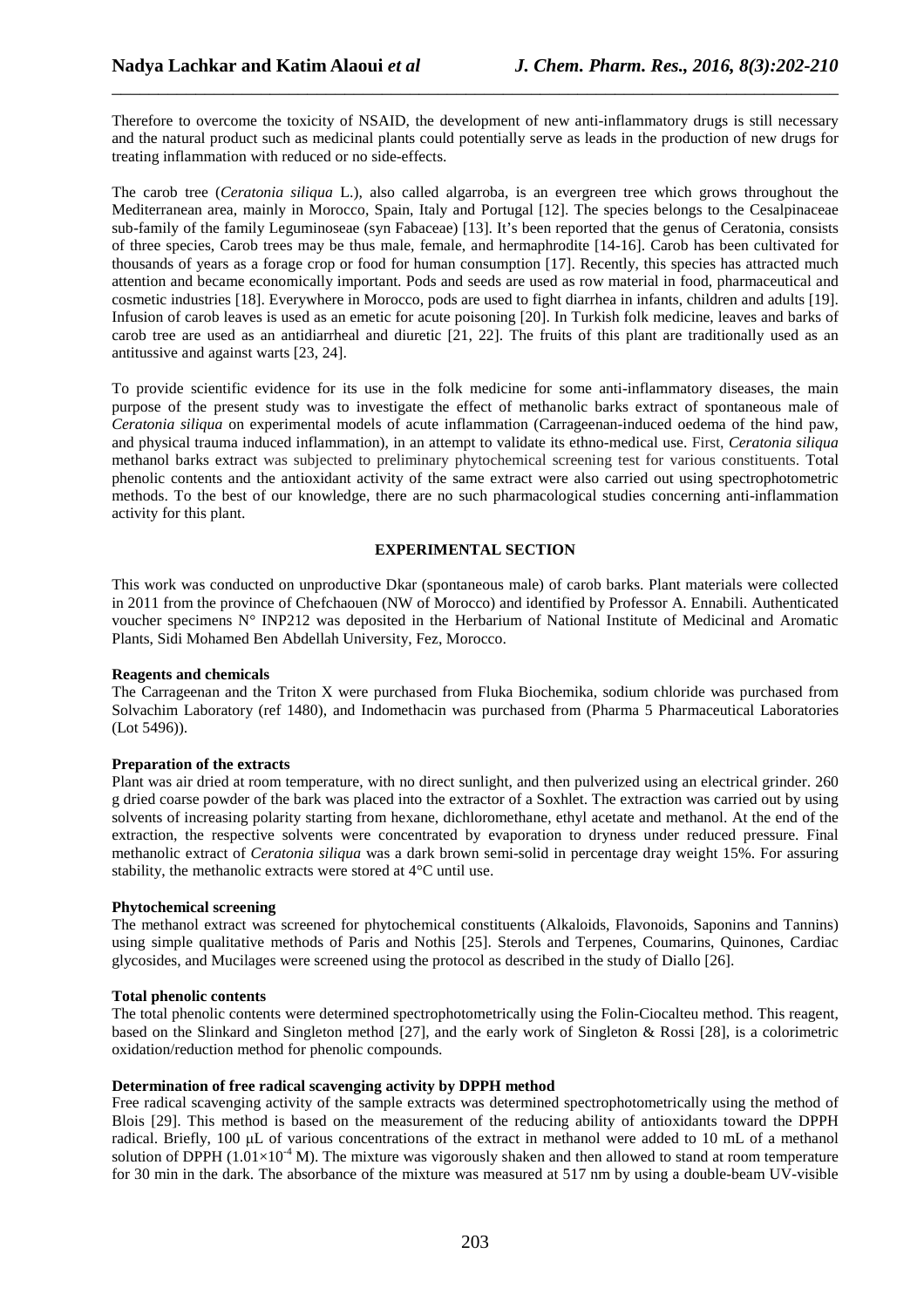Therefore to overcome the toxicity of NSAID, the development of new anti-inflammatory drugs is still necessary and the natural product such as medicinal plants could potentially serve as leads in the production of new drugs for treating inflammation with reduced or no side-effects.

\_\_\_\_\_\_\_\_\_\_\_\_\_\_\_\_\_\_\_\_\_\_\_\_\_\_\_\_\_\_\_\_\_\_\_\_\_\_\_\_\_\_\_\_\_\_\_\_\_\_\_\_\_\_\_\_\_\_\_\_\_\_\_\_\_\_\_\_\_\_\_\_\_\_\_\_\_\_

The carob tree (*Ceratonia siliqua* L.), also called algarroba, is an evergreen tree which grows throughout the Mediterranean area, mainly in Morocco, Spain, Italy and Portugal [12]. The species belongs to the Cesalpinaceae sub-family of the family Leguminoseae (syn Fabaceae) [13]. It's been reported that the genus of Ceratonia, consists of three species, Carob trees may be thus male, female, and hermaphrodite [14-16]. Carob has been cultivated for thousands of years as a forage crop or food for human consumption [17]. Recently, this species has attracted much attention and became economically important. Pods and seeds are used as row material in food, pharmaceutical and cosmetic industries [18]. Everywhere in Morocco, pods are used to fight diarrhea in infants, children and adults [19]. Infusion of carob leaves is used as an emetic for acute poisoning [20]. In Turkish folk medicine, leaves and barks of carob tree are used as an antidiarrheal and diuretic [21, 22]. The fruits of this plant are traditionally used as an antitussive and against warts [23, 24].

To provide scientific evidence for its use in the folk medicine for some anti-inflammatory diseases, the main purpose of the present study was to investigate the effect of methanolic barks extract of spontaneous male of *Ceratonia siliqua* on experimental models of acute inflammation (Carrageenan-induced oedema of the hind paw, and physical trauma induced inflammation), in an attempt to validate its ethno-medical use. First, *Ceratonia siliqua*  methanol barks extract was subjected to preliminary phytochemical screening test for various constituents. Total phenolic contents and the antioxidant activity of the same extract were also carried out using spectrophotometric methods. To the best of our knowledge, there are no such pharmacological studies concerning anti-inflammation activity for this plant.

# **EXPERIMENTAL SECTION**

This work was conducted on unproductive Dkar (spontaneous male) of carob barks. Plant materials were collected in 2011 from the province of Chefchaouen (NW of Morocco) and identified by Professor A. Ennabili. Authenticated voucher specimens N° INP212 was deposited in the Herbarium of National Institute of Medicinal and Aromatic Plants, Sidi Mohamed Ben Abdellah University, Fez, Morocco.

## **Reagents and chemicals**

The Carrageenan and the Triton X were purchased from Fluka Biochemika, sodium chloride was purchased from Solvachim Laboratory (ref 1480), and Indomethacin was purchased from (Pharma 5 Pharmaceutical Laboratories (Lot 5496)).

## **Preparation of the extracts**

Plant was air dried at room temperature, with no direct sunlight, and then pulverized using an electrical grinder. 260 g dried coarse powder of the bark was placed into the extractor of a Soxhlet. The extraction was carried out by using solvents of increasing polarity starting from hexane, dichloromethane, ethyl acetate and methanol. At the end of the extraction, the respective solvents were concentrated by evaporation to dryness under reduced pressure. Final methanolic extract of *Ceratonia siliqua* was a dark brown semi-solid in percentage dray weight 15%. For assuring stability, the methanolic extracts were stored at 4°C until use.

## **Phytochemical screening**

The methanol extract was screened for phytochemical constituents (Alkaloids, Flavonoids, Saponins and Tannins) using simple qualitative methods of Paris and Nothis [25]. Sterols and Terpenes, Coumarins, Quinones, Cardiac glycosides, and Mucilages were screened using the protocol as described in the study of Diallo [26].

## **Total phenolic contents**

The total phenolic contents were determined spectrophotometrically using the Folin-Ciocalteu method. This reagent, based on the Slinkard and Singleton method [27], and the early work of Singleton & Rossi [28], is a colorimetric oxidation/reduction method for phenolic compounds.

## **Determination of free radical scavenging activity by DPPH method**

Free radical scavenging activity of the sample extracts was determined spectrophotometrically using the method of Blois [29]. This method is based on the measurement of the reducing ability of antioxidants toward the DPPH radical. Briefly, 100 µL of various concentrations of the extract in methanol were added to 10 mL of a methanol solution of DPPH ( $1.01\times10^{-4}$  M). The mixture was vigorously shaken and then allowed to stand at room temperature for 30 min in the dark. The absorbance of the mixture was measured at 517 nm by using a double-beam UV-visible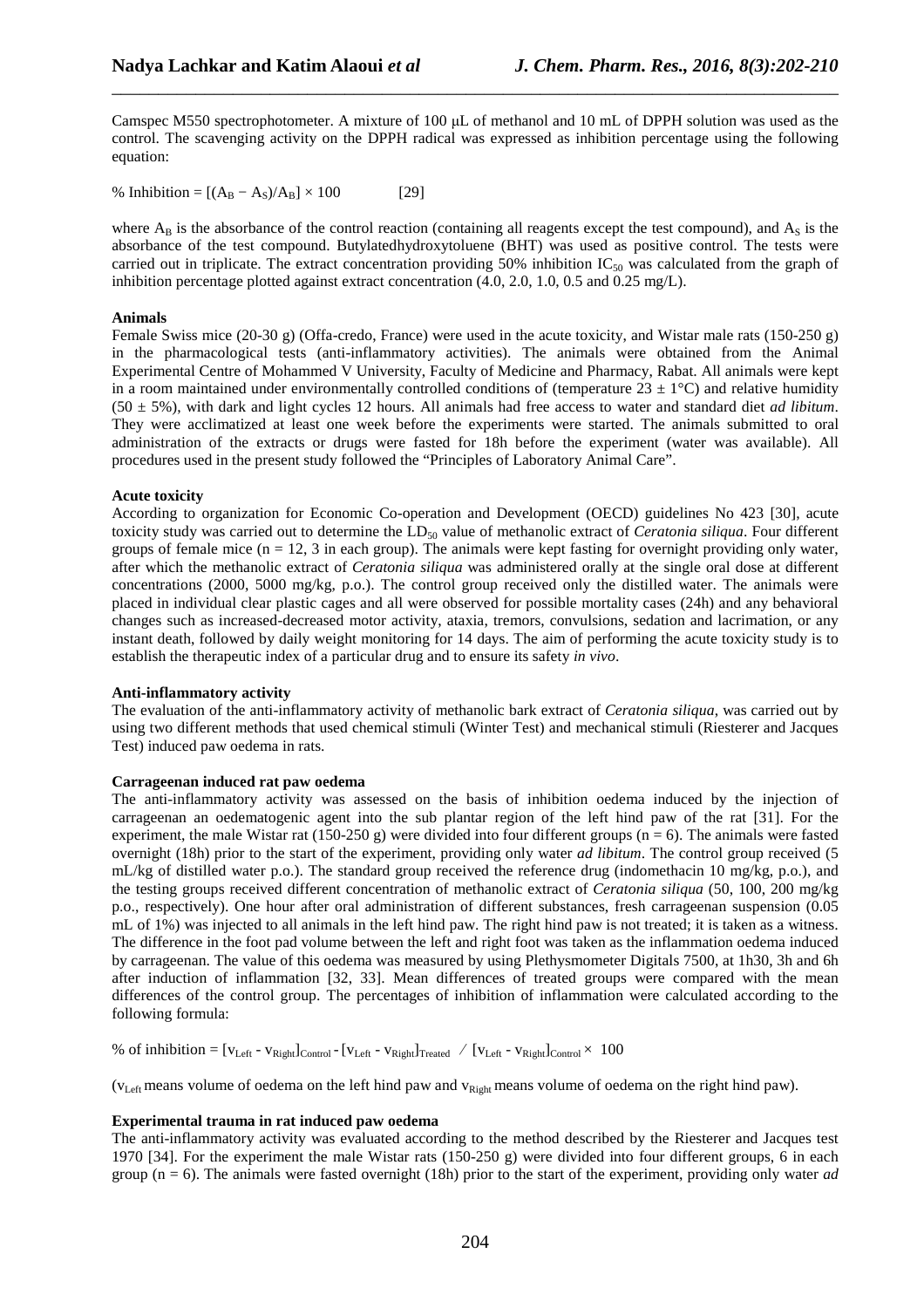Camspec M550 spectrophotometer. A mixture of 100  $\mu$ L of methanol and 10 mL of DPPH solution was used as the control. The scavenging activity on the DPPH radical was expressed as inhibition percentage using the following equation:

\_\_\_\_\_\_\_\_\_\_\_\_\_\_\_\_\_\_\_\_\_\_\_\_\_\_\_\_\_\_\_\_\_\_\_\_\_\_\_\_\_\_\_\_\_\_\_\_\_\_\_\_\_\_\_\_\_\_\_\_\_\_\_\_\_\_\_\_\_\_\_\_\_\_\_\_\_\_

% Inhibition =  $[(A_B - A_S)/A_B] \times 100$  [29]

where  $A_B$  is the absorbance of the control reaction (containing all reagents except the test compound), and  $A_S$  is the absorbance of the test compound. Butylatedhydroxytoluene (BHT) was used as positive control. The tests were carried out in triplicate. The extract concentration providing  $50\%$  inhibition IC<sub>50</sub> was calculated from the graph of inhibition percentage plotted against extract concentration (4.0, 2.0, 1.0, 0.5 and 0.25 mg/L).

# **Animals**

Female Swiss mice (20-30 g) (Offa-credo, France) were used in the acute toxicity, and Wistar male rats (150-250 g) in the pharmacological tests (anti-inflammatory activities). The animals were obtained from the Animal Experimental Centre of Mohammed V University, Faculty of Medicine and Pharmacy, Rabat. All animals were kept in a room maintained under environmentally controlled conditions of (temperature  $23 \pm 1$ °C) and relative humidity (50 ± 5%), with dark and light cycles 12 hours. All animals had free access to water and standard diet *ad libitum*. They were acclimatized at least one week before the experiments were started. The animals submitted to oral administration of the extracts or drugs were fasted for 18h before the experiment (water was available). All procedures used in the present study followed the "Principles of Laboratory Animal Care".

# **Acute toxicity**

According to organization for Economic Co-operation and Development (OECD) guidelines No 423 [30], acute toxicity study was carried out to determine the  $LD_{50}$  value of methanolic extract of *Ceratonia siliqua*. Four different groups of female mice ( $n = 12$ , 3 in each group). The animals were kept fasting for overnight providing only water, after which the methanolic extract of *Ceratonia siliqua* was administered orally at the single oral dose at different concentrations (2000, 5000 mg/kg, p.o.). The control group received only the distilled water. The animals were placed in individual clear plastic cages and all were observed for possible mortality cases (24h) and any behavioral changes such as increased-decreased motor activity, ataxia, tremors, convulsions, sedation and lacrimation, or any instant death, followed by daily weight monitoring for 14 days. The aim of performing the acute toxicity study is to establish the therapeutic index of a particular drug and to ensure its safety *in vivo*.

## **Anti-inflammatory activity**

The evaluation of the anti-inflammatory activity of methanolic bark extract of *Ceratonia siliqua*, was carried out by using two different methods that used chemical stimuli (Winter Test) and mechanical stimuli (Riesterer and Jacques Test) induced paw oedema in rats.

# **Carrageenan induced rat paw oedema**

The anti-inflammatory activity was assessed on the basis of inhibition oedema induced by the injection of carrageenan an oedematogenic agent into the sub plantar region of the left hind paw of the rat [31]. For the experiment, the male Wistar rat (150-250 g) were divided into four different groups ( $n = 6$ ). The animals were fasted overnight (18h) prior to the start of the experiment, providing only water *ad libitum*. The control group received (5 mL/kg of distilled water p.o.). The standard group received the reference drug (indomethacin 10 mg/kg, p.o.), and the testing groups received different concentration of methanolic extract of *Ceratonia siliqua* (50, 100, 200 mg/kg p.o., respectively). One hour after oral administration of different substances, fresh carrageenan suspension (0.05 mL of 1%) was injected to all animals in the left hind paw. The right hind paw is not treated; it is taken as a witness. The difference in the foot pad volume between the left and right foot was taken as the inflammation oedema induced by carrageenan. The value of this oedema was measured by using Plethysmometer Digitals 7500, at 1h30, 3h and 6h after induction of inflammation [32, 33]. Mean differences of treated groups were compared with the mean differences of the control group. The percentages of inhibition of inflammation were calculated according to the following formula:

% of inhibition =  $[v_{Left} - v_{Right}]_{Control} - [v_{Left} - v_{Right}]_{Teft}$  /  $[v_{Left} - v_{Right}]_{Control} \times 100$ 

 $(v<sub>Left</sub> means volume of a *o* and *v h* in the left *h* and *v h* is the same value of the *v* and *v h* is the same value of the *v* and *v* is the same value of the *v* and *v* is the same value of the *v* and *v* is the same value of the *v* and *v* is the same value of the *v* and *v* is the same value of the *v* and *v* is the same value of the *v* and *v* is the same value$ 

# **Experimental trauma in rat induced paw oedema**

The anti-inflammatory activity was evaluated according to the method described by the Riesterer and Jacques test 1970 [34]. For the experiment the male Wistar rats (150-250 g) were divided into four different groups, 6 in each group (n = 6). The animals were fasted overnight (18h) prior to the start of the experiment, providing only water *ad*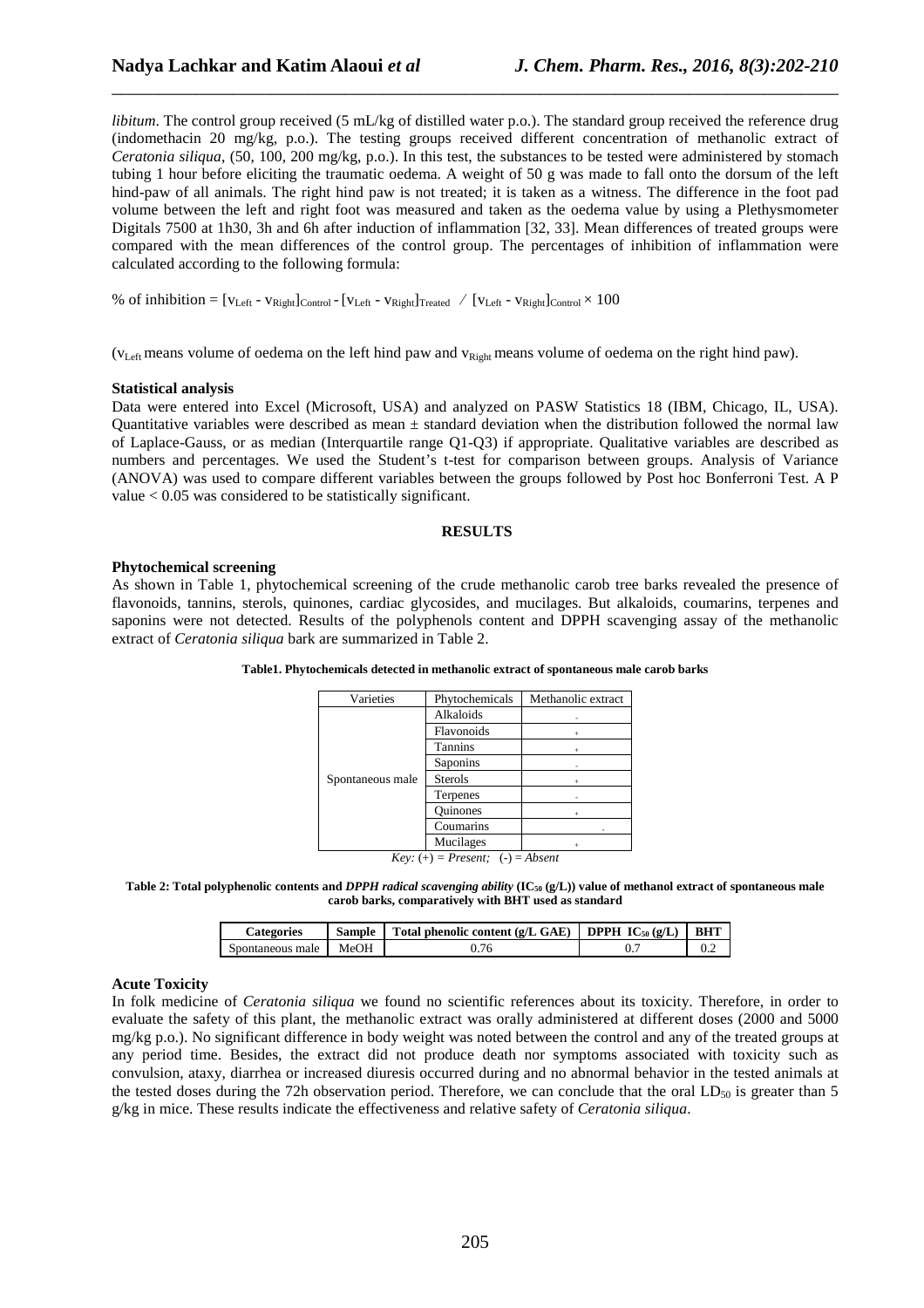*libitum*. The control group received (5 mL/kg of distilled water p.o.). The standard group received the reference drug (indomethacin 20 mg/kg, p.o.). The testing groups received different concentration of methanolic extract of *Ceratonia siliqua*, (50, 100, 200 mg/kg, p.o.). In this test, the substances to be tested were administered by stomach tubing 1 hour before eliciting the traumatic oedema. A weight of 50 g was made to fall onto the dorsum of the left hind-paw of all animals. The right hind paw is not treated; it is taken as a witness. The difference in the foot pad volume between the left and right foot was measured and taken as the oedema value by using a Plethysmometer Digitals 7500 at 1h30, 3h and 6h after induction of inflammation [32, 33]. Mean differences of treated groups were compared with the mean differences of the control group. The percentages of inhibition of inflammation were calculated according to the following formula:

\_\_\_\_\_\_\_\_\_\_\_\_\_\_\_\_\_\_\_\_\_\_\_\_\_\_\_\_\_\_\_\_\_\_\_\_\_\_\_\_\_\_\_\_\_\_\_\_\_\_\_\_\_\_\_\_\_\_\_\_\_\_\_\_\_\_\_\_\_\_\_\_\_\_\_\_\_\_

% of inhibition =  $[v_{\text{Left}} - v_{\text{Right}}]_{\text{Control}} - [v_{\text{Left}} - v_{\text{Right}}]_{\text{Treated}} \quad / [v_{\text{Left}} - v_{\text{Right}}]_{\text{Control}} \times 100$ 

(v<sub>Left</sub> means volume of oedema on the left hind paw and v<sub>Right</sub> means volume of oedema on the right hind paw).

#### **Statistical analysis**

Data were entered into Excel (Microsoft, USA) and analyzed on PASW Statistics 18 (IBM, Chicago, IL, USA). Quantitative variables were described as mean  $\pm$  standard deviation when the distribution followed the normal law of Laplace-Gauss, or as median (Interquartile range Q1-Q3) if appropriate. Qualitative variables are described as numbers and percentages. We used the Student's t-test for comparison between groups. Analysis of Variance (ANOVA) was used to compare different variables between the groups followed by Post hoc Bonferroni Test. A P value < 0.05 was considered to be statistically significant.

### **RESULTS**

# **Phytochemical screening**

As shown in Table 1, phytochemical screening of the crude methanolic carob tree barks revealed the presence of flavonoids, tannins, sterols, quinones, cardiac glycosides, and mucilages. But alkaloids, coumarins, terpenes and saponins were not detected. Results of the polyphenols content and DPPH scavenging assay of the methanolic extract of *Ceratonia siliqua* bark are summarized in Table 2.

| Varieties        | Phytochemicals | Methanolic extract |
|------------------|----------------|--------------------|
| Spontaneous male | Alkaloids      |                    |
|                  | Flavonoids     |                    |
|                  | Tannins        |                    |
|                  | Saponins       |                    |
|                  | <b>Sterols</b> |                    |
|                  | Terpenes       |                    |
|                  | Ouinones       |                    |
|                  | Coumarins      |                    |
|                  | Mucilages      |                    |

**Table1. Phytochemicals detected in methanolic extract of spontaneous male carob barks** 

 $Key: (+) = Present; (-) = Absent$ 

**Table 2: Total polyphenolic contents and** *DPPH radical scavenging ability* **(IC50 (g/L)) value of methanol extract of spontaneous male carob barks, comparatively with BHT used as standard** 

| Categories       |      | Sample Total phenolic content (g/L GAE) DPPH $IC_{50}$ (g/L) | BHT |
|------------------|------|--------------------------------------------------------------|-----|
| Spontaneous male | MeOH |                                                              |     |

## **Acute Toxicity**

In folk medicine of *Ceratonia siliqua* we found no scientific references about its toxicity. Therefore, in order to evaluate the safety of this plant, the methanolic extract was orally administered at different doses (2000 and 5000 mg/kg p.o.). No significant difference in body weight was noted between the control and any of the treated groups at any period time. Besides, the extract did not produce death nor symptoms associated with toxicity such as convulsion, ataxy, diarrhea or increased diuresis occurred during and no abnormal behavior in the tested animals at the tested doses during the 72h observation period. Therefore, we can conclude that the oral  $LD_{50}$  is greater than 5 g/kg in mice. These results indicate the effectiveness and relative safety of *Ceratonia siliqua*.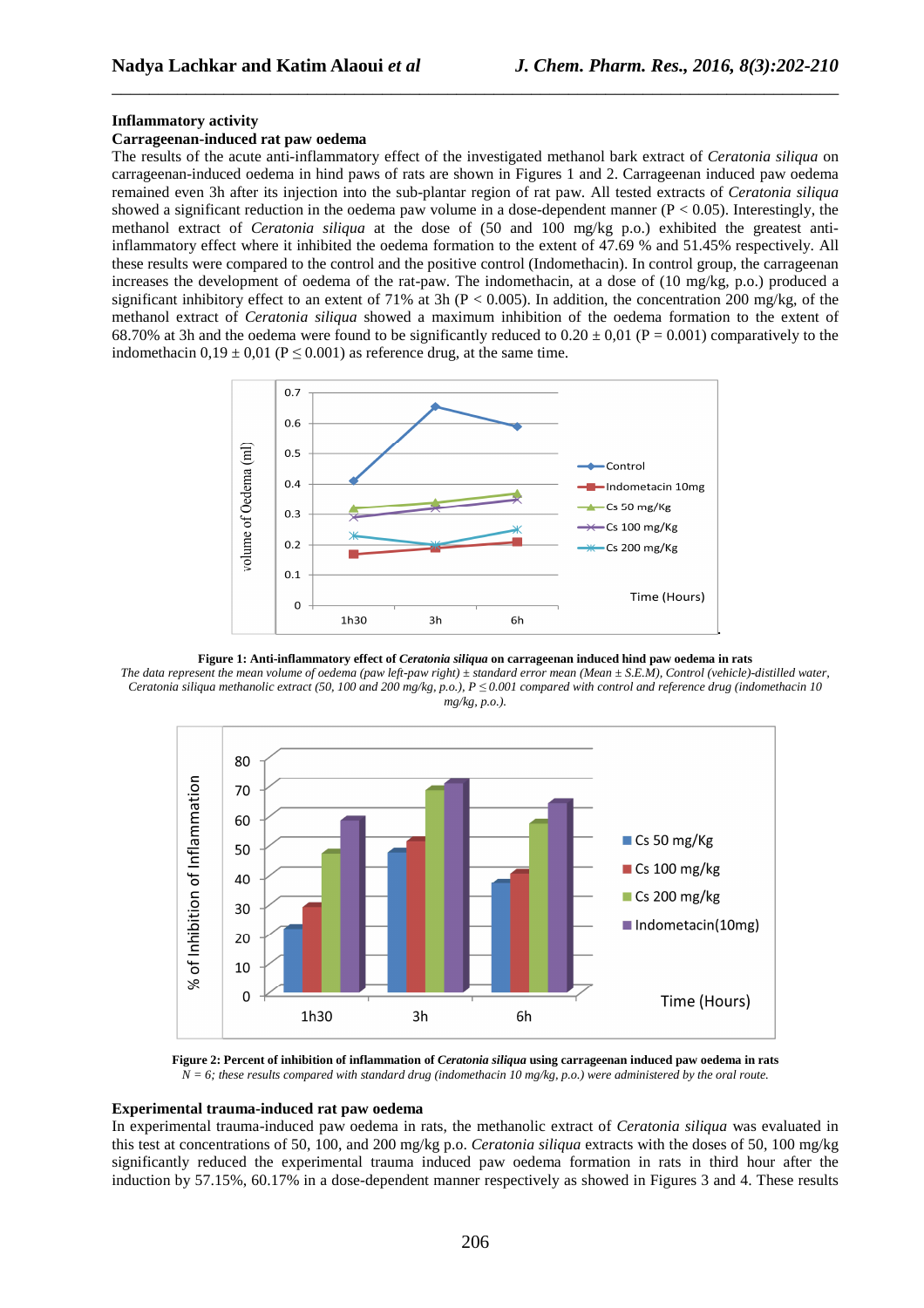#### **Inflammatory activity**

### **Carrageenan-induced rat paw oedema**

The results of the acute anti-inflammatory effect of the investigated methanol bark extract of *Ceratonia siliqua* on carrageenan-induced oedema in hind paws of rats are shown in Figures 1 and 2. Carrageenan induced paw oedema remained even 3h after its injection into the sub-plantar region of rat paw. All tested extracts of *Ceratonia siliqua* showed a significant reduction in the oedema paw volume in a dose-dependent manner ( $P < 0.05$ ). Interestingly, the methanol extract of *Ceratonia siliqua* at the dose of (50 and 100 mg/kg p.o.) exhibited the greatest antiinflammatory effect where it inhibited the oedema formation to the extent of 47.69 % and 51.45% respectively. All these results were compared to the control and the positive control (Indomethacin). In control group, the carrageenan increases the development of oedema of the rat-paw. The indomethacin, at a dose of (10 mg/kg, p.o.) produced a significant inhibitory effect to an extent of 71% at 3h ( $P < 0.005$ ). In addition, the concentration 200 mg/kg, of the methanol extract of *Ceratonia siliqua* showed a maximum inhibition of the oedema formation to the extent of 68.70% at 3h and the oedema were found to be significantly reduced to  $0.20 \pm 0.01$  (P = 0.001) comparatively to the indomethacin  $0.19 \pm 0.01$  (P  $\leq$  0.001) as reference drug, at the same time.

\_\_\_\_\_\_\_\_\_\_\_\_\_\_\_\_\_\_\_\_\_\_\_\_\_\_\_\_\_\_\_\_\_\_\_\_\_\_\_\_\_\_\_\_\_\_\_\_\_\_\_\_\_\_\_\_\_\_\_\_\_\_\_\_\_\_\_\_\_\_\_\_\_\_\_\_\_\_



**Figure 1: Anti-inflammatory effect of** *Ceratonia siliqua* **on carrageenan induced hind paw oedema in rats** 

*The data represent the mean volume of oedema (paw left-paw right) ± standard error mean (Mean ± S.E.M), Control (vehicle)-distilled water, Ceratonia siliqua methanolic extract (50, 100 and 200 mg/kg, p.o.), P ≤ 0.001 compared with control and reference drug (indomethacin 10 mg/kg, p.o.).* 



**Figure 2: Percent of inhibition of inflammation of** *Ceratonia siliqua* **using carrageenan induced paw oedema in rats** 

*N = 6; these results compared with standard drug (indomethacin 10 mg/kg, p.o.) were administered by the oral route.* 

# **Experimental trauma-induced rat paw oedema**

In experimental trauma-induced paw oedema in rats, the methanolic extract of *Ceratonia siliqua* was evaluated in this test at concentrations of 50, 100, and 200 mg/kg p.o. *Ceratonia siliqua* extracts with the doses of 50, 100 mg/kg significantly reduced the experimental trauma induced paw oedema formation in rats in third hour after the induction by 57.15%, 60.17% in a dose-dependent manner respectively as showed in Figures 3 and 4. These results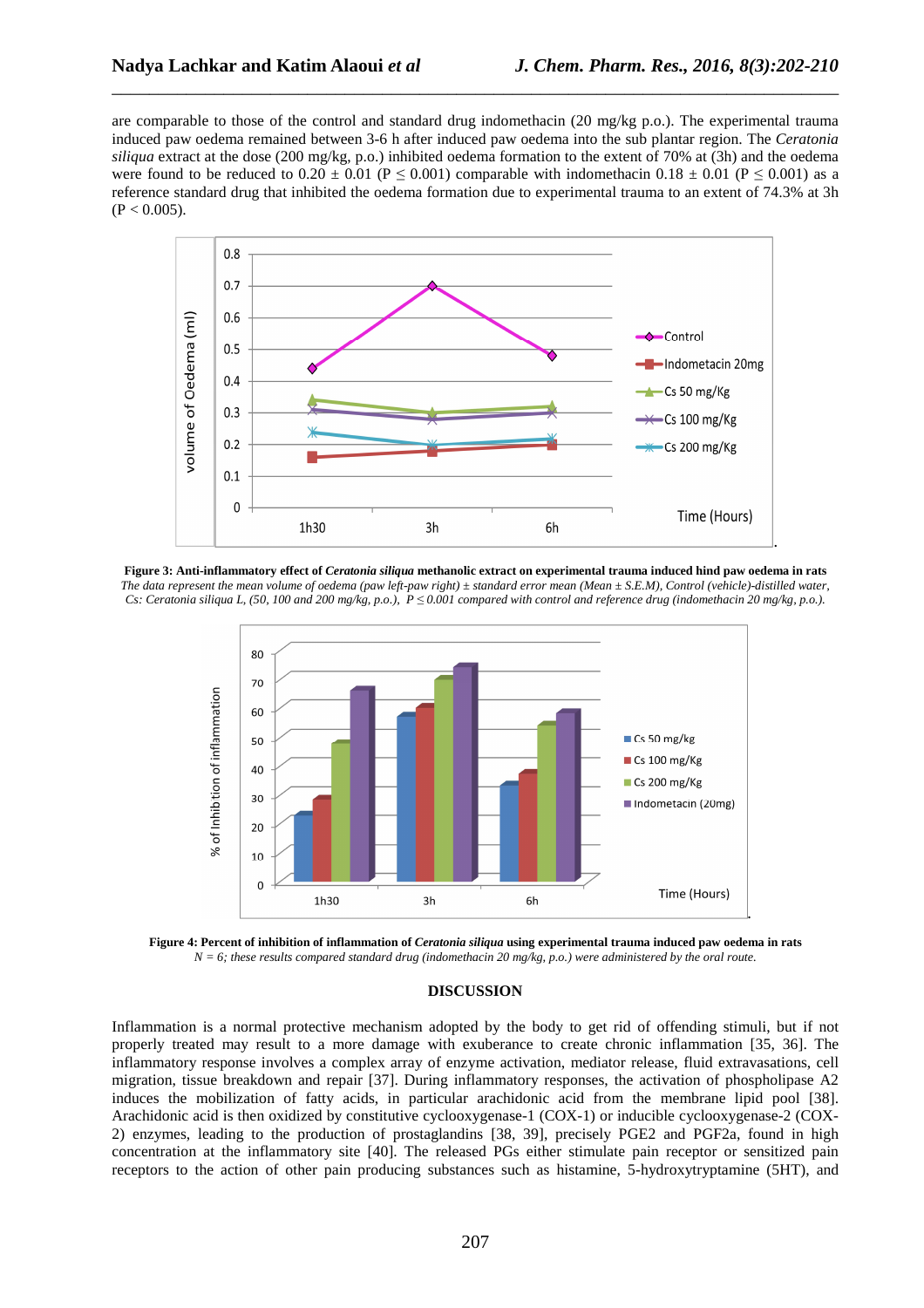are comparable to those of the control and standard drug indomethacin (20 mg/kg p.o.). The experimental trauma induced paw oedema remained between 3-6 h after induced paw oedema into the sub plantar region. The *Ceratonia siliqua* extract at the dose (200 mg/kg, p.o.) inhibited oedema formation to the extent of 70% at (3h) and the oedema were found to be reduced to 0.20  $\pm$  0.01 (P  $\leq$  0.001) comparable with indomethacin 0.18  $\pm$  0.01 (P  $\leq$  0.001) as a reference standard drug that inhibited the oedema formation due to experimental trauma to an extent of 74.3% at 3h  $(P < 0.005)$ .

\_\_\_\_\_\_\_\_\_\_\_\_\_\_\_\_\_\_\_\_\_\_\_\_\_\_\_\_\_\_\_\_\_\_\_\_\_\_\_\_\_\_\_\_\_\_\_\_\_\_\_\_\_\_\_\_\_\_\_\_\_\_\_\_\_\_\_\_\_\_\_\_\_\_\_\_\_\_



**Figure 3: Anti-inflammatory effect of** *Ceratonia siliqua* **methanolic extract on experimental trauma induced hind paw oedema in rats**  *The data represent the mean volume of oedema (paw left-paw right) ± standard error mean (Mean ± S.E.M), Control (vehicle)-distilled water, Cs: Ceratonia siliqua L, (50, 100 and 200 mg/kg, p.o.),*  $P \le 0.001$  compared with control and reference drug (indomethacin 20 mg/kg, p.o.).



**Figure 4: Percent of inhibition of inflammation of** *Ceratonia siliqua* **using experimental trauma induced paw oedema in rats**  *N = 6; these results compared standard drug (indomethacin 20 mg/kg, p.o.) were administered by the oral route.*

# **DISCUSSION**

Inflammation is a normal protective mechanism adopted by the body to get rid of offending stimuli, but if not properly treated may result to a more damage with exuberance to create chronic inflammation [35, 36]. The inflammatory response involves a complex array of enzyme activation, mediator release, fluid extravasations, cell migration, tissue breakdown and repair [37]. During inflammatory responses, the activation of phospholipase A2 induces the mobilization of fatty acids, in particular arachidonic acid from the membrane lipid pool [38]. Arachidonic acid is then oxidized by constitutive cyclooxygenase-1 (COX-1) or inducible cyclooxygenase-2 (COX-2) enzymes, leading to the production of prostaglandins [38, 39], precisely PGE2 and PGF2a, found in high concentration at the inflammatory site [40]. The released PGs either stimulate pain receptor or sensitized pain receptors to the action of other pain producing substances such as histamine, 5-hydroxytryptamine (5HT), and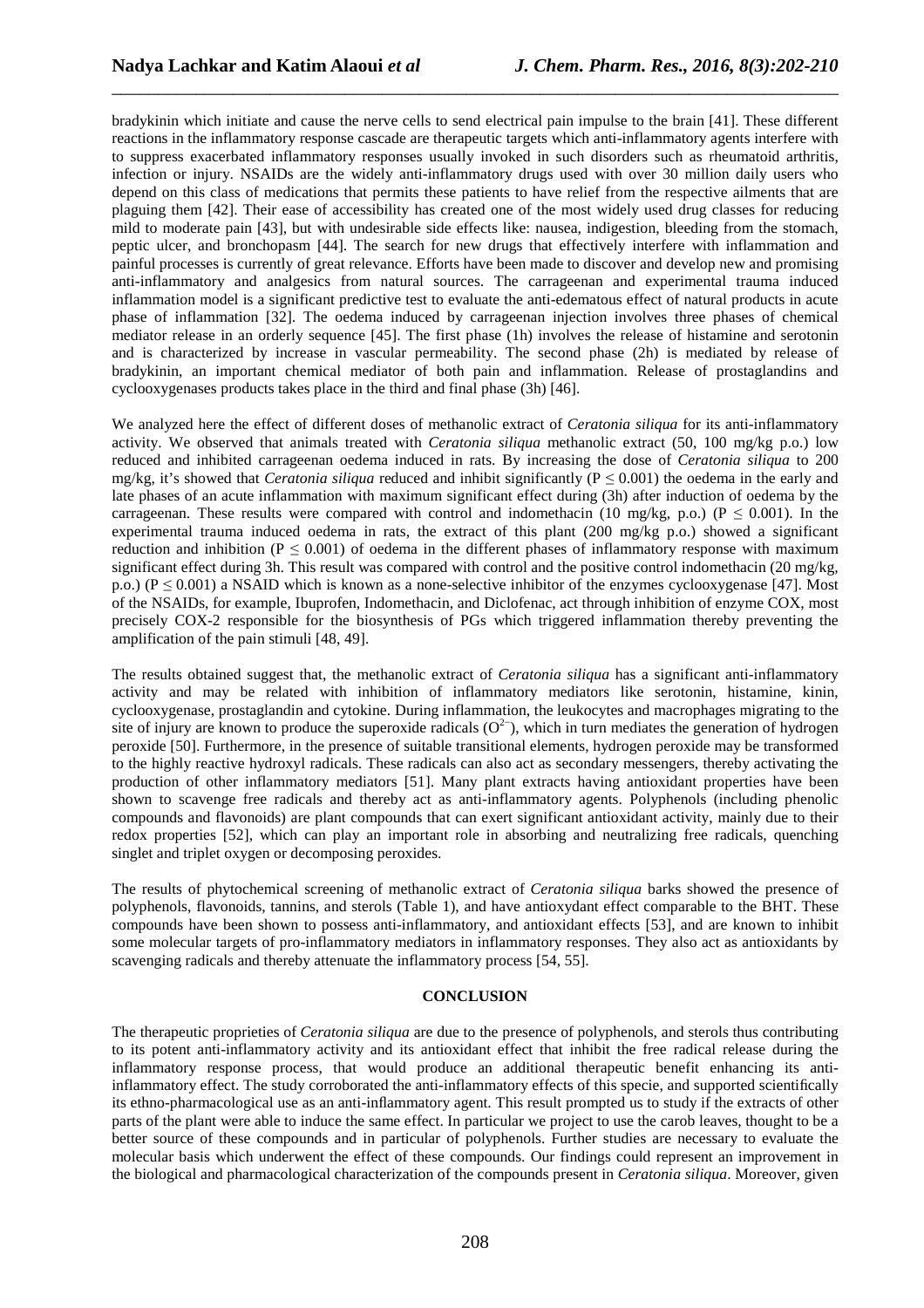bradykinin which initiate and cause the nerve cells to send electrical pain impulse to the brain [41]. These different reactions in the inflammatory response cascade are therapeutic targets which anti-inflammatory agents interfere with to suppress exacerbated inflammatory responses usually invoked in such disorders such as rheumatoid arthritis, infection or injury. NSAIDs are the widely anti-inflammatory drugs used with over 30 million daily users who depend on this class of medications that permits these patients to have relief from the respective ailments that are plaguing them [42]. Their ease of accessibility has created one of the most widely used drug classes for reducing mild to moderate pain [43], but with undesirable side effects like: nausea, indigestion, bleeding from the stomach, peptic ulcer, and bronchopasm [44]. The search for new drugs that effectively interfere with inflammation and painful processes is currently of great relevance. Efforts have been made to discover and develop new and promising anti-inflammatory and analgesics from natural sources. The carrageenan and experimental trauma induced inflammation model is a significant predictive test to evaluate the anti-edematous effect of natural products in acute phase of inflammation [32]. The oedema induced by carrageenan injection involves three phases of chemical mediator release in an orderly sequence [45]. The first phase (1h) involves the release of histamine and serotonin and is characterized by increase in vascular permeability. The second phase (2h) is mediated by release of bradykinin, an important chemical mediator of both pain and inflammation. Release of prostaglandins and cyclooxygenases products takes place in the third and final phase (3h) [46].

\_\_\_\_\_\_\_\_\_\_\_\_\_\_\_\_\_\_\_\_\_\_\_\_\_\_\_\_\_\_\_\_\_\_\_\_\_\_\_\_\_\_\_\_\_\_\_\_\_\_\_\_\_\_\_\_\_\_\_\_\_\_\_\_\_\_\_\_\_\_\_\_\_\_\_\_\_\_

We analyzed here the effect of different doses of methanolic extract of *Ceratonia siliqua* for its anti-inflammatory activity. We observed that animals treated with *Ceratonia siliqua* methanolic extract (50, 100 mg/kg p.o.) low reduced and inhibited carrageenan oedema induced in rats. By increasing the dose of *Ceratonia siliqua* to 200 mg/kg, it's showed that *Ceratonia siliqua* reduced and inhibit significantly ( $P \le 0.001$ ) the oedema in the early and late phases of an acute inflammation with maximum significant effect during (3h) after induction of oedema by the carrageenan. These results were compared with control and indomethacin (10 mg/kg, p.o.) ( $P \le 0.001$ ). In the experimental trauma induced oedema in rats, the extract of this plant (200 mg/kg p.o.) showed a significant reduction and inhibition ( $P \le 0.001$ ) of oedema in the different phases of inflammatory response with maximum significant effect during 3h. This result was compared with control and the positive control indomethacin (20 mg/kg, p.o.) ( $P \le 0.001$ ) a NSAID which is known as a none-selective inhibitor of the enzymes cyclooxygenase [47]. Most of the NSAIDs, for example, Ibuprofen, Indomethacin, and Diclofenac, act through inhibition of enzyme COX, most precisely COX-2 responsible for the biosynthesis of PGs which triggered inflammation thereby preventing the amplification of the pain stimuli [48, 49].

The results obtained suggest that, the methanolic extract of *Ceratonia siliqua* has a significant anti-inflammatory activity and may be related with inhibition of inflammatory mediators like serotonin, histamine, kinin, cyclooxygenase, prostaglandin and cytokine. During inflammation, the leukocytes and macrophages migrating to the site of injury are known to produce the superoxide radicals  $(O<sup>2</sup>)$ , which in turn mediates the generation of hydrogen peroxide [50]. Furthermore, in the presence of suitable transitional elements, hydrogen peroxide may be transformed to the highly reactive hydroxyl radicals. These radicals can also act as secondary messengers, thereby activating the production of other inflammatory mediators [51]. Many plant extracts having antioxidant properties have been shown to scavenge free radicals and thereby act as anti-inflammatory agents. Polyphenols (including phenolic compounds and flavonoids) are plant compounds that can exert significant antioxidant activity, mainly due to their redox properties [52], which can play an important role in absorbing and neutralizing free radicals, quenching singlet and triplet oxygen or decomposing peroxides.

The results of phytochemical screening of methanolic extract of *Ceratonia siliqua* barks showed the presence of polyphenols, flavonoids, tannins, and sterols (Table 1), and have antioxydant effect comparable to the BHT. These compounds have been shown to possess anti-inflammatory, and antioxidant effects [53], and are known to inhibit some molecular targets of pro-inflammatory mediators in inflammatory responses. They also act as antioxidants by scavenging radicals and thereby attenuate the inflammatory process [54, 55].

# **CONCLUSION**

The therapeutic proprieties of *Ceratonia siliqua* are due to the presence of polyphenols, and sterols thus contributing to its potent anti-inflammatory activity and its antioxidant effect that inhibit the free radical release during the inflammatory response process, that would produce an additional therapeutic benefit enhancing its antiinflammatory effect. The study corroborated the anti-inflammatory effects of this specie, and supported scientifically its ethno-pharmacological use as an anti-inflammatory agent. This result prompted us to study if the extracts of other parts of the plant were able to induce the same effect. In particular we project to use the carob leaves, thought to be a better source of these compounds and in particular of polyphenols. Further studies are necessary to evaluate the molecular basis which underwent the effect of these compounds. Our findings could represent an improvement in the biological and pharmacological characterization of the compounds present in *Ceratonia siliqua*. Moreover, given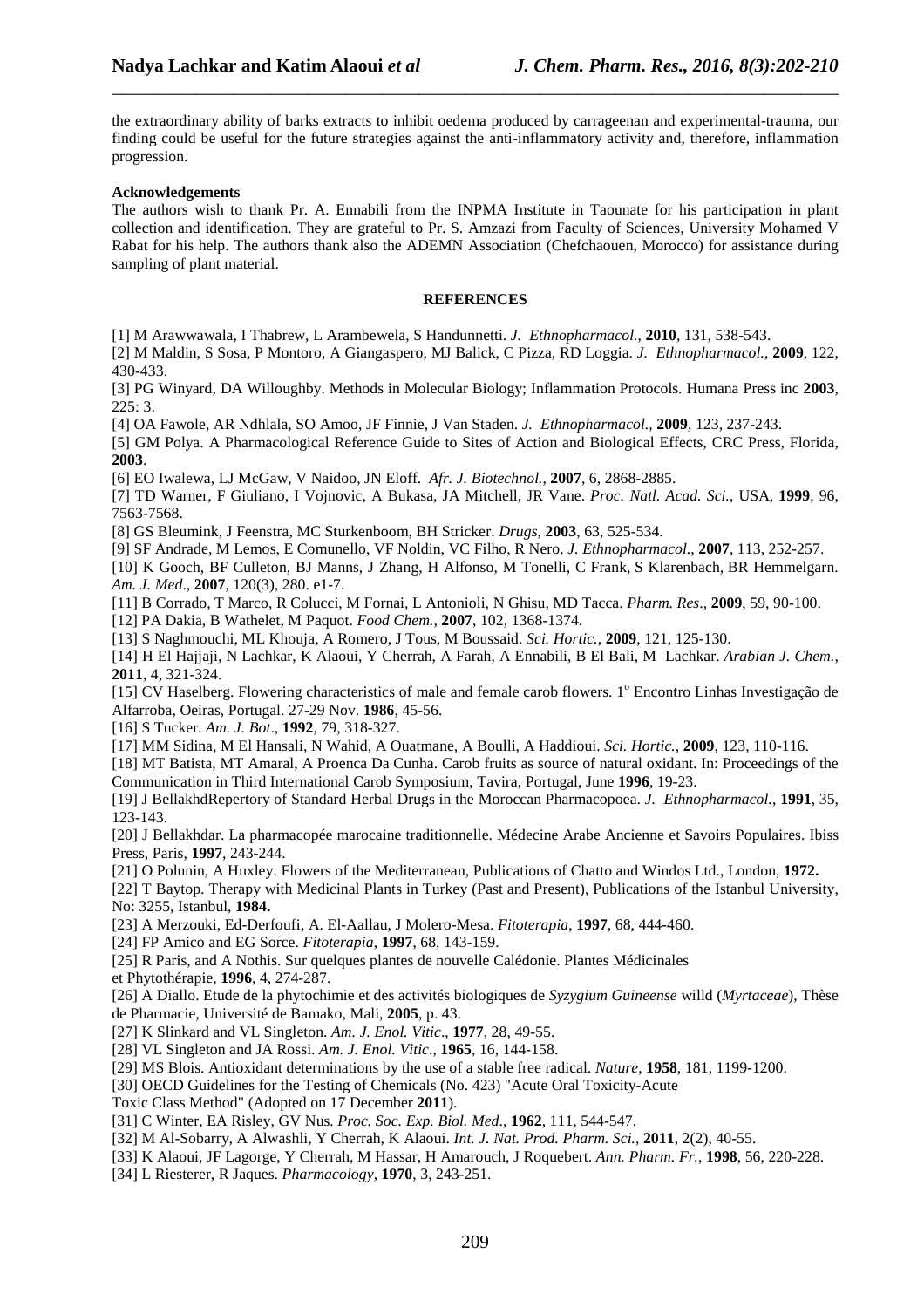the extraordinary ability of barks extracts to inhibit oedema produced by carrageenan and experimental-trauma, our finding could be useful for the future strategies against the anti-inflammatory activity and, therefore, inflammation progression.

\_\_\_\_\_\_\_\_\_\_\_\_\_\_\_\_\_\_\_\_\_\_\_\_\_\_\_\_\_\_\_\_\_\_\_\_\_\_\_\_\_\_\_\_\_\_\_\_\_\_\_\_\_\_\_\_\_\_\_\_\_\_\_\_\_\_\_\_\_\_\_\_\_\_\_\_\_\_

#### **Acknowledgements**

The authors wish to thank Pr. A. Ennabili from the INPMA Institute in Taounate for his participation in plant collection and identification. They are grateful to Pr. S. Amzazi from Faculty of Sciences, University Mohamed V Rabat for his help. The authors thank also the ADEMN Association (Chefchaouen, Morocco) for assistance during sampling of plant material.

#### **REFERENCES**

[1] M Arawwawala, I Thabrew, L Arambewela, S Handunnetti. *J. Ethnopharmacol.*, **2010**, 131, 538-543.

[2] M Maldin, S Sosa, P Montoro, A Giangaspero, MJ Balick, C Pizza, RD Loggia. *J. Ethnopharmacol.*, **2009**, 122, 430-433.

[3] PG Winyard, DA Willoughby. Methods in Molecular Biology; Inflammation Protocols. Humana Press inc **2003**,  $225:3$ .

[4] OA Fawole, AR Ndhlala, SO Amoo, JF Finnie, J Van Staden. *J. Ethnopharmacol.,* **2009**, 123, 237-243.

[5] GM Polya. A Pharmacological Reference Guide to Sites of Action and Biological Effects, CRC Press, Florida, **2003**.

[6] EO Iwalewa, LJ McGaw, V Naidoo, JN Eloff. *Afr. J. Biotechnol.*, **2007**, 6, 2868-2885.

[7] TD Warner, F Giuliano, I Vojnovic, A Bukasa, JA Mitchell, JR Vane. *Proc. Natl. Acad. Sci.*, USA, **1999**, 96, 7563-7568.

[8] GS Bleumink, J Feenstra, MC Sturkenboom, BH Stricker. *Drugs*, **2003**, 63, 525-534.

[9] SF Andrade, M Lemos, E Comunello, VF Noldin, VC Filho, R Nero. *J. Ethnopharmacol*., **2007**, 113, 252-257.

[10] K Gooch, BF Culleton, BJ Manns, J Zhang, H Alfonso, M Tonelli, C Frank, S Klarenbach, BR Hemmelgarn. *Am. J. Med*., **2007**, 120(3), 280. e1-7.

[11] B Corrado, T Marco, R Colucci, M Fornai, L Antonioli, N Ghisu, MD Tacca. *Pharm. Res*., **2009**, 59, 90-100.

[12] PA Dakia, B Wathelet, M Paquot. *Food Chem.*, **2007**, 102, 1368-1374.

[13] S Naghmouchi, ML Khouja, A Romero, J Tous, M Boussaid. *Sci. Hortic.*, **2009**, 121, 125-130.

[14] H El Hajjaji, N Lachkar, K Alaoui, Y Cherrah, A Farah, A Ennabili, B El Bali, M Lachkar. *Arabian J. Chem.*, **2011**, 4, 321-324.

[15] CV Haselberg. Flowering characteristics of male and female carob flowers. 1° Encontro Linhas Investigação de Alfarroba, Oeiras, Portugal. 27-29 Nov. **1986**, 45-56.

[16] S Tucker. *Am. J. Bot*., **1992**, 79, 318-327.

[17] MM Sidina, M El Hansali, N Wahid, A Ouatmane, A Boulli, A Haddioui. *Sci. Hortic.*, **2009**, 123, 110-116.

[18] MT Batista, MT Amaral, A Proenca Da Cunha. Carob fruits as source of natural oxidant. In: Proceedings of the Communication in Third International Carob Symposium, Tavira, Portugal, June **1996**, 19-23.

[19] J BellakhdRepertory of Standard Herbal Drugs in the Moroccan Pharmacopoea. *J. Ethnopharmacol.*, **1991**, 35, 123-143.

[20] J Bellakhdar. La pharmacopée marocaine traditionnelle. Médecine Arabe Ancienne et Savoirs Populaires. Ibiss Press, Paris, **1997**, 243-244.

[21] O Polunin, A Huxley. Flowers of the Mediterranean, Publications of Chatto and Windos Ltd., London, **1972.**

[22] T Baytop. Therapy with Medicinal Plants in Turkey (Past and Present), Publications of the Istanbul University, No: 3255, Istanbul, **1984.**

[23] A Merzouki, Ed-Derfoufi, A. El-Aallau, J Molero-Mesa. *Fitoterapia*, **1997**, 68, 444-460.

[24] FP Amico and EG Sorce. *Fitoterapia*, **1997**, 68, 143-159.

[25] R Paris, and A Nothis. Sur quelques plantes de nouvelle Calédonie. Plantes Médicinales

et Phytothérapie, **1996**, 4, 274-287.

[26] A Diallo. Etude de la phytochimie et des activités biologiques de *Syzygium Guineense* willd (*Myrtaceae*), Thèse de Pharmacie, Université de Bamako, Mali, **2005**, p. 43.

[27] K Slinkard and VL Singleton. *Am. J. Enol. Vitic*., **1977**, 28, 49-55.

[28] VL Singleton and JA Rossi. *Am. J. Enol. Vitic*., **1965**, 16, 144-158.

[29] MS Blois. Antioxidant determinations by the use of a stable free radical. *Nature*, **1958**, 181, 1199-1200.

[30] OECD Guidelines for the Testing of Chemicals (No. 423) "Acute Oral Toxicity-Acute

Toxic Class Method" (Adopted on 17 December **2011**).

[31] C Winter, EA Risley, GV Nus. *Proc. Soc. Exp. Biol. Med*., **1962**, 111, 544-547.

[32] M Al-Sobarry, A Alwashli, Y Cherrah, K Alaoui. *Int. J. Nat. Prod. Pharm. Sci.*, **2011**, 2(2), 40-55.

- [33] K Alaoui, JF Lagorge, Y Cherrah, M Hassar, H Amarouch, J Roquebert. *Ann. Pharm. Fr.*, **1998**, 56, 220-228.
- [34] L Riesterer, R Jaques. *Pharmacology*, **1970**, 3, 243-251.